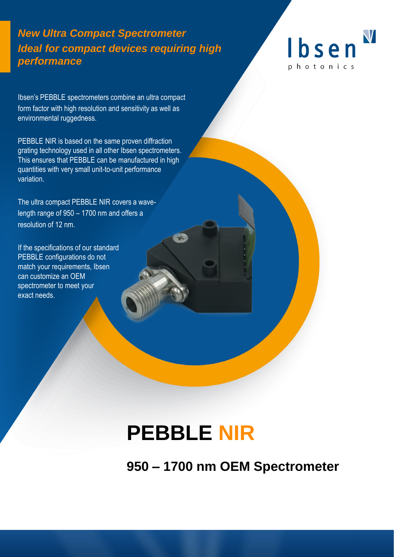### *New Ultra Compact Spectrometer Ideal for compact devices requiring high performance*



Ibsen's PEBBLE spectrometers combine an ultra compact form factor with high resolution and sensitivity as well as environmental ruggedness.

PEBBLE NIR is based on the same proven diffraction grating technology used in all other Ibsen spectrometers. This ensures that PEBBLE can be manufactured in high quantities with very small unit-to-unit performance variation.

The ultra compact PEBBLE NIR covers a wavelength range of 950 – 1700 nm and offers a resolution of 12 nm.

If the specifications of our standard PEBBLE configurations do not match your requirements, Ibsen can customize an OEM spectrometer to meet your exact needs.

# **PEBBLE NIR**

**950 – 1700 nm OEM Spectrometer**